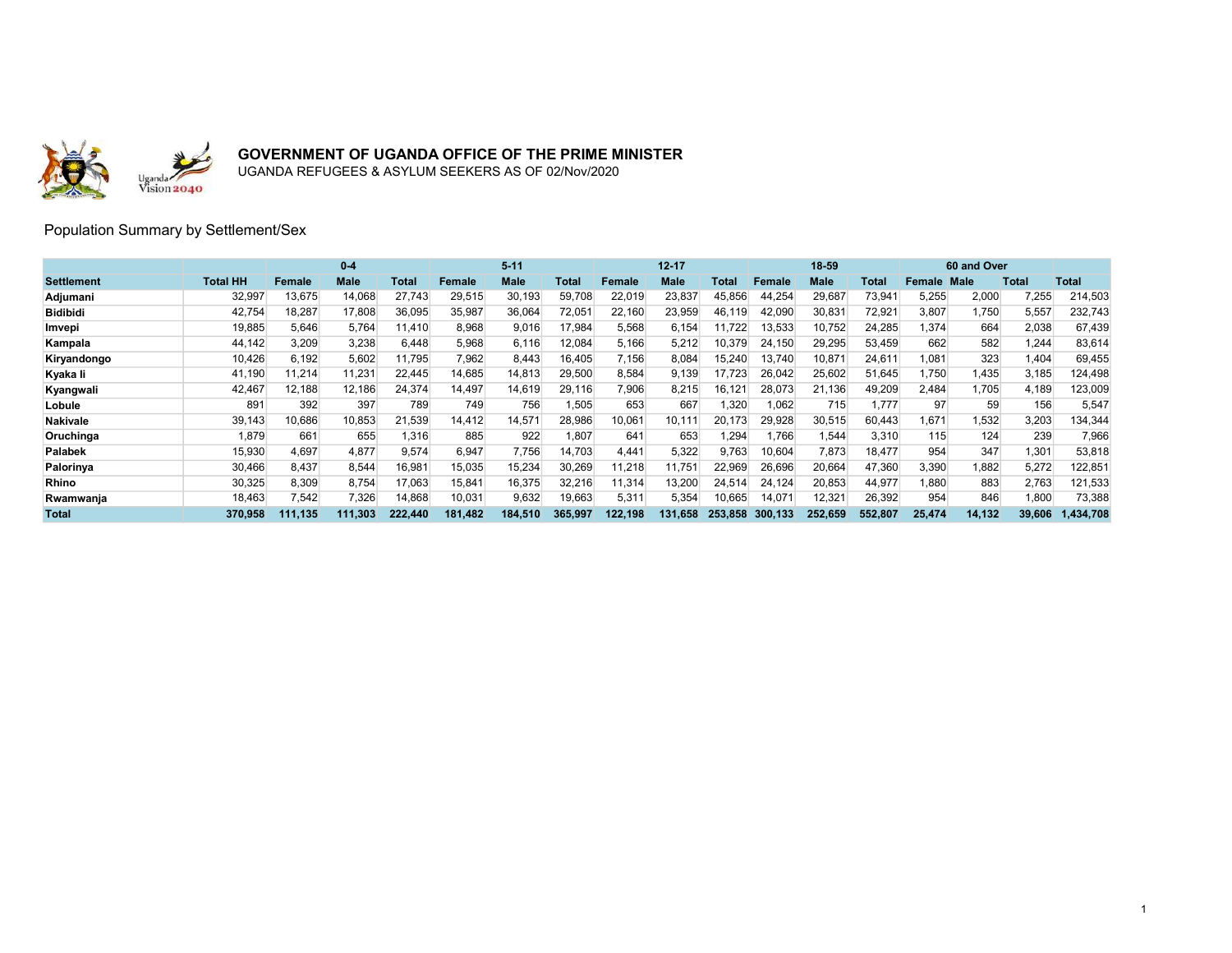

UGANDA REFUGEES & ASYLUM SEEKERS AS OF 02/Nov/2020

#### Population Summary by Settlement/Sex

|                   |          |         | $0 - 4$ |         |         | $5 - 11$    |         |         | $12 - 17$   |         |         | 18-59   |         |        | 60 and Over |        |              |
|-------------------|----------|---------|---------|---------|---------|-------------|---------|---------|-------------|---------|---------|---------|---------|--------|-------------|--------|--------------|
| <b>Settlement</b> | Total HH | Female  | Male    | Total   | Female  | <b>Male</b> | Total   | Female  | <b>Male</b> | Total   | Female  | Male    | Total   | Female | <b>Male</b> | Total  | <b>Total</b> |
| Adjumani          | 32,997   | 13,675  | 14,068  | 27,743  | 29,515  | 30,193      | 59,708  | 22,019  | 23,837      | 45,856  | 44,254  | 29,687  | 73,941  | 5,255  | 2,000       | 7,255  | 214,503      |
| <b>Bidibidi</b>   | 42,754   | 18,287  | 17,808  | 36,095  | 35,987  | 36,064      | 72,051  | 22,160  | 23,959      | 46,119  | 42,090  | 30,831  | 72,921  | 3,807  | 1,750       | 5,557  | 232,743      |
| Imvepi            | 19,885   | 5,646   | 5,764   | 11,410  | 8,968   | 9,016       | 17,984  | 5,568   | 6,154       | 11,722  | 13,533  | 10,752  | 24,285  | 1,374  | 664         | 2,038  | 67,439       |
| Kampala           | 44,142   | 3,209   | 3,238   | 6.448   | 5,968   | 6.116       | 12,084  | 5,166   | 5,212       | 10,379  | 24.150  | 29,295  | 53,459  | 662    | 582         | 1,244  | 83,614       |
| Kiryandongo       | 10,426   | 6,192   | 5,602   | 11,795  | 7,962   | 8,443       | 16,405  | 7,156   | 8,084       | 15,240  | 13,740  | 10,87'  | 24,611  | 1.081  | 323         | 1,404  | 69,455       |
| Kyaka li          | 41,190   | 11,214  | 11,231  | 22,445  | 14,685  | 14,813      | 29,500  | 8,584   | 9,139       | 17,723  | 26,042  | 25,602  | 51,645  | 1,750  | 1,435       | 3,185  | 124,498      |
| Kyangwali         | 42,467   | 12,188  | 12,186  | 24,374  | 14,497  | 14,619      | 29,116  | 7,906   | 8,215       | 16,121  | 28,073  | 21,136  | 49,209  | 2,484  | 1,705       | 4,189  | 123,009      |
| Lobule            | 891      | 392     | 397     | 789     | 749     | 756         | 1,505   | 653     | 667         | 1,320   | 1,062   | 715     | 1.777   | 97     | 59          | 156    | 5,547        |
| <b>Nakivale</b>   | 39,143   | 10,686  | 10,853  | 21,539  | 14,412  | 14,571      | 28,986  | 10,061  | 10,111      | 20.173  | 29,928  | 30,515  | 60,443  | 1.671  | 1,532       | 3,203  | 134,344      |
| Oruchinga         | 1,879    | 661     | 655     | 1,316   | 885     | 922         | 1.807   | 641     | 653         | .294    | 1.766   | 1,544   | 3,310   | 115    | 124         | 239    | 7,966        |
| <b>Palabek</b>    | 15,930   | 4,697   | 4,877   | 9,574   | 6,947   | 7,756       | 14,703  | 4,441   | 5,322       | 9,763   | 10,604  | 7,873   | 18,477  | 954    | 347         | 1,301  | 53,818       |
| Palorinya         | 30,466   | 8.437   | 8,544   | 16,981  | 15,035  | 15,234      | 30,269  | 11,218  | 11,751      | 22,969  | 26,696  | 20,664  | 47,360  | 3,390  | .882        | 5,272  | 122,851      |
| <b>Rhino</b>      | 30,325   | 8,309   | 8,754   | 17,063  | 15,841  | 16,375      | 32,216  | 11,314  | 13,200      | 24,514  | 24.124  | 20,853  | 44,977  | 1,880  | 883         | 2,763  | 121,533      |
| Rwamwanja         | 18,463   | 7,542   | 7,326   | 14,868  | 10,031  | 9,632       | 19,663  | 5,311   | 5,354       | 10,665  | 14,071  | 12,321  | 26,392  | 954    | 846         | 1,800  | 73,388       |
| <b>Total</b>      | 370.958  | 111.135 | 111.303 | 222.440 | 181.482 | 184.510     | 365.997 | 122,198 | 131.658     | 253.858 | 300.133 | 252.659 | 552.807 | 25.474 | 14,132      | 39,606 | 1.434.708    |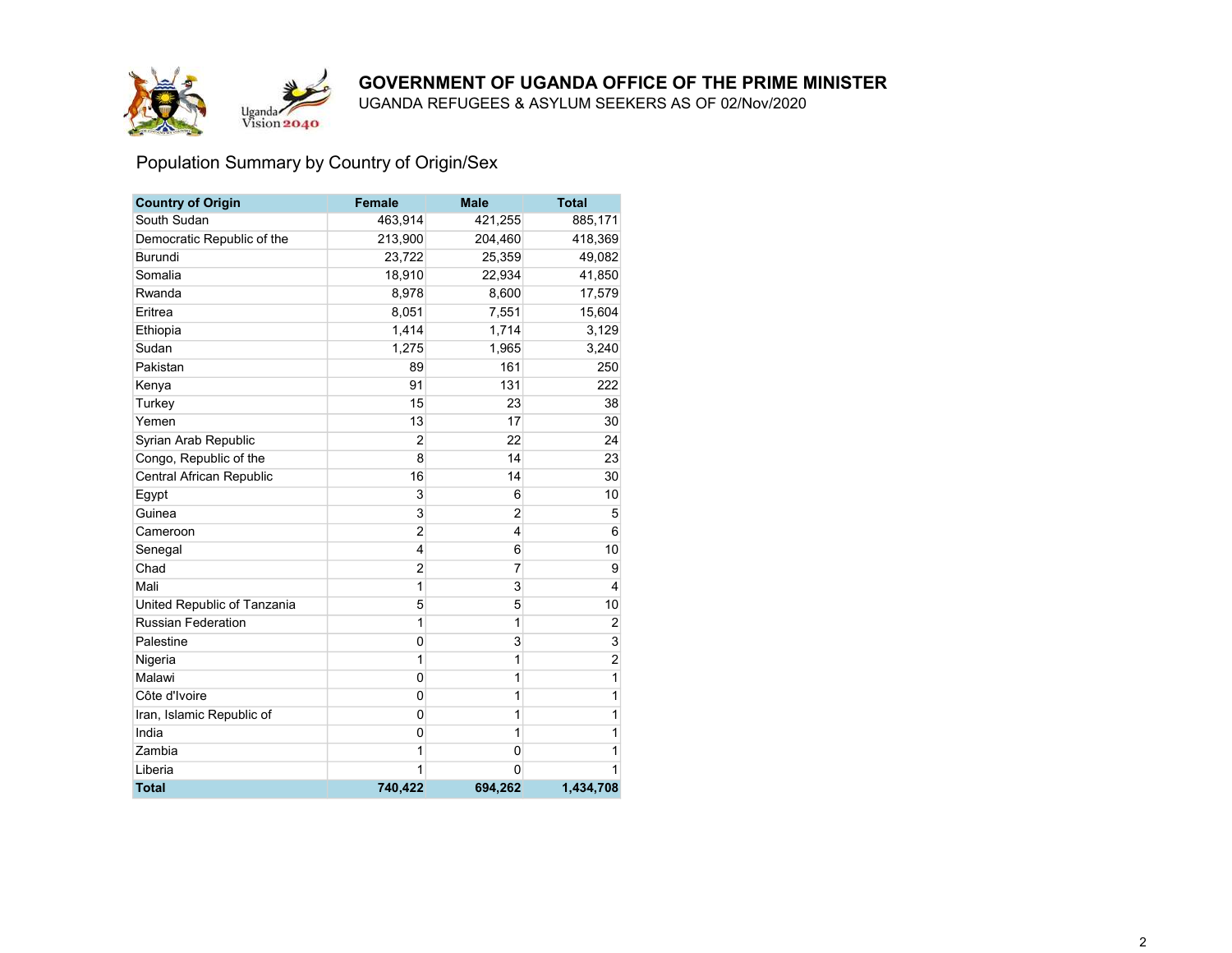



UGANDA REFUGEES & ASYLUM SEEKERS AS OF 02/Nov/2020

# Population Summary by Country of Origin/Sex

| <b>Country of Origin</b>    | <b>Female</b>  | <b>Male</b>    | <b>Total</b>   |
|-----------------------------|----------------|----------------|----------------|
| South Sudan                 | 463,914        | 421,255        | 885,171        |
| Democratic Republic of the  | 213,900        | 204,460        | 418,369        |
| Burundi                     | 23,722         | 25,359         | 49,082         |
| Somalia                     | 18,910         | 22,934         | 41,850         |
| Rwanda                      | 8,978          | 8,600          | 17,579         |
| Eritrea                     | 8,051          | 7,551          | 15,604         |
| Ethiopia                    | 1,414          | 1,714          | 3,129          |
| Sudan                       | 1,275          | 1,965          | 3,240          |
| Pakistan                    | 89             | 161            | 250            |
| Kenya                       | 91             | 131            | 222            |
| Turkey                      | 15             | 23             | 38             |
| Yemen                       | 13             | 17             | 30             |
| Syrian Arab Republic        | $\overline{2}$ | 22             | 24             |
| Congo, Republic of the      | 8              | 14             | 23             |
| Central African Republic    | 16             | 14             | 30             |
| Egypt                       | 3              | 6              | 10             |
| Guinea                      | 3              | $\overline{c}$ | 5              |
| Cameroon                    | $\overline{2}$ | 4              | 6              |
| Senegal                     | 4              | 6              | 10             |
| Chad                        | $\overline{2}$ | 7              | 9              |
| Mali                        | 1              | 3              | 4              |
| United Republic of Tanzania | 5              | 5              | 10             |
| <b>Russian Federation</b>   | 1              | 1              | $\overline{2}$ |
| Palestine                   | 0              | 3              | 3              |
| Nigeria                     | 1              | 1              | $\overline{c}$ |
| Malawi                      | 0              | 1              | 1              |
| Côte d'Ivoire               | 0              | 1              | 1              |
| Iran, Islamic Republic of   | $\mathbf 0$    | 1              | 1              |
| India                       | 0              | 1              | 1              |
| Zambia                      | 1              | 0              | 1              |
| Liberia                     | 1              | $\Omega$       | 1              |
| <b>Total</b>                | 740,422        | 694.262        | 1,434,708      |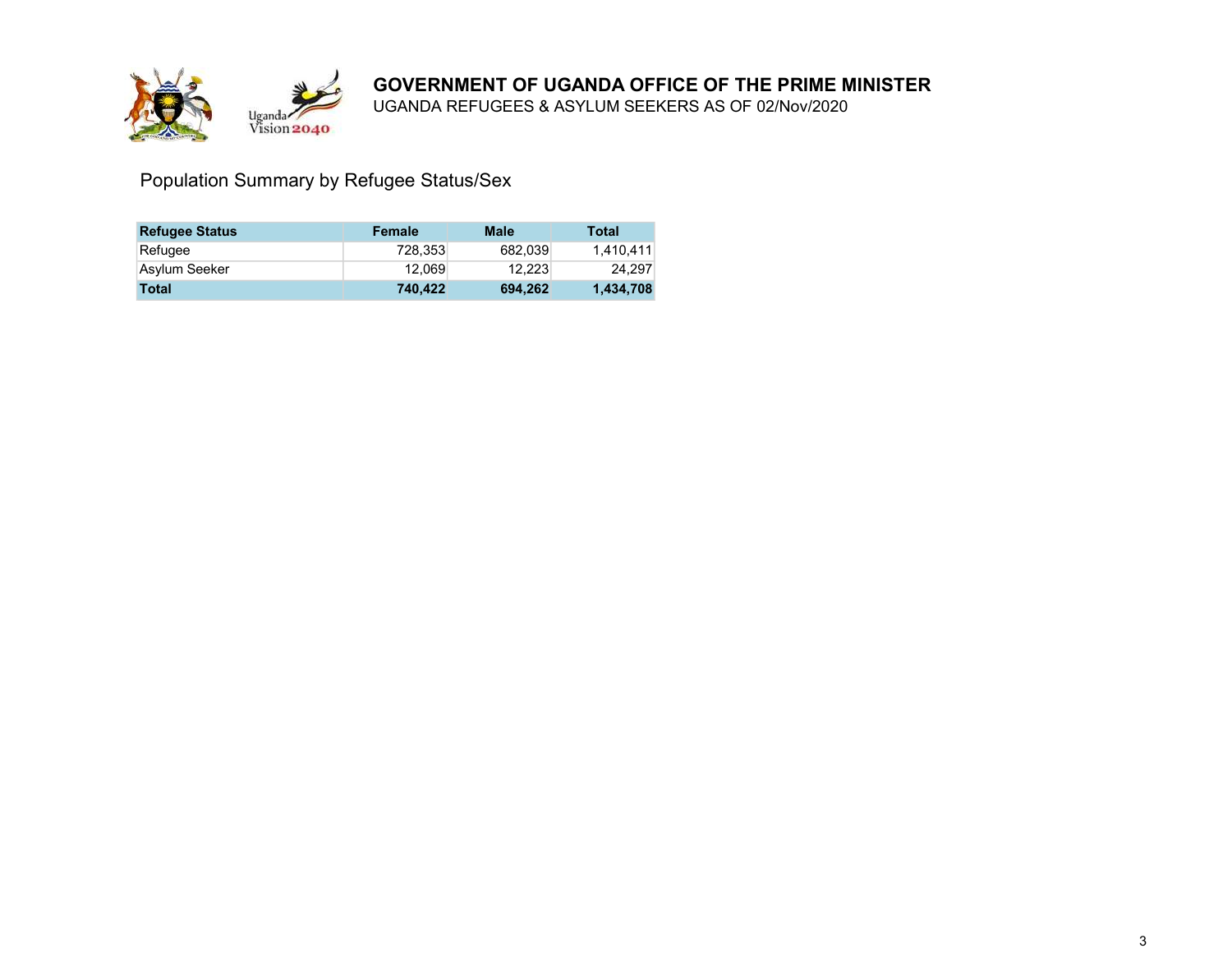

UGANDA REFUGEES & ASYLUM SEEKERS AS OF 02/Nov/2020

Population Summary by Refugee Status/Sex

| <b>Refugee Status</b> | Female  | Male    | Total     |
|-----------------------|---------|---------|-----------|
| Refugee               | 728.353 | 682.039 | 1.410.411 |
| Asylum Seeker         | 12.069  | 12.223  | 24.297    |
| Total                 | 740.422 | 694.262 | 1,434,708 |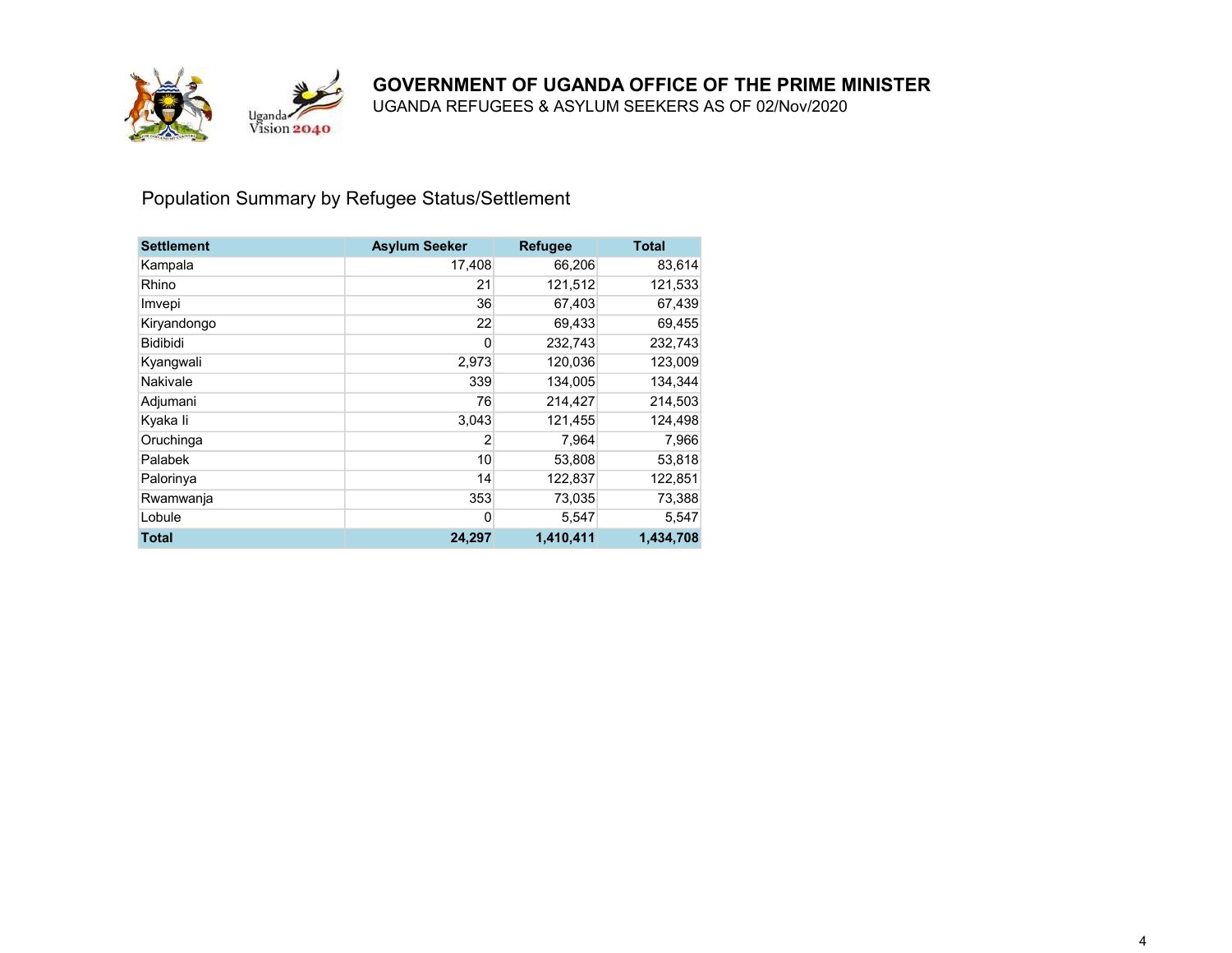

UGANDA REFUGEES & ASYLUM SEEKERS AS OF 02/Nov/2020

## Population Summary by Refugee Status/Settlement

| <b>Settlement</b> | <b>Asylum Seeker</b> | <b>Refugee</b> | <b>Total</b> |
|-------------------|----------------------|----------------|--------------|
| Kampala           | 17,408               | 66,206         | 83,614       |
| Rhino             | 21                   | 121,512        | 121,533      |
| Imvepi            | 36                   | 67,403         | 67,439       |
| Kiryandongo       | 22                   | 69,433         | 69,455       |
| <b>Bidibidi</b>   | 0                    | 232,743        | 232,743      |
| Kyangwali         | 2,973                | 120,036        | 123,009      |
| Nakivale          | 339                  | 134,005        | 134,344      |
| Adjumani          | 76                   | 214,427        | 214,503      |
| Kyaka li          | 3,043                | 121,455        | 124,498      |
| Oruchinga         | $\overline{2}$       | 7,964          | 7,966        |
| Palabek           | 10                   | 53,808         | 53,818       |
| Palorinya         | 14                   | 122,837        | 122,851      |
| Rwamwanja         | 353                  | 73,035         | 73,388       |
| Lobule            | 0                    | 5,547          | 5,547        |
| Total             | 24,297               | 1,410,411      | 1,434,708    |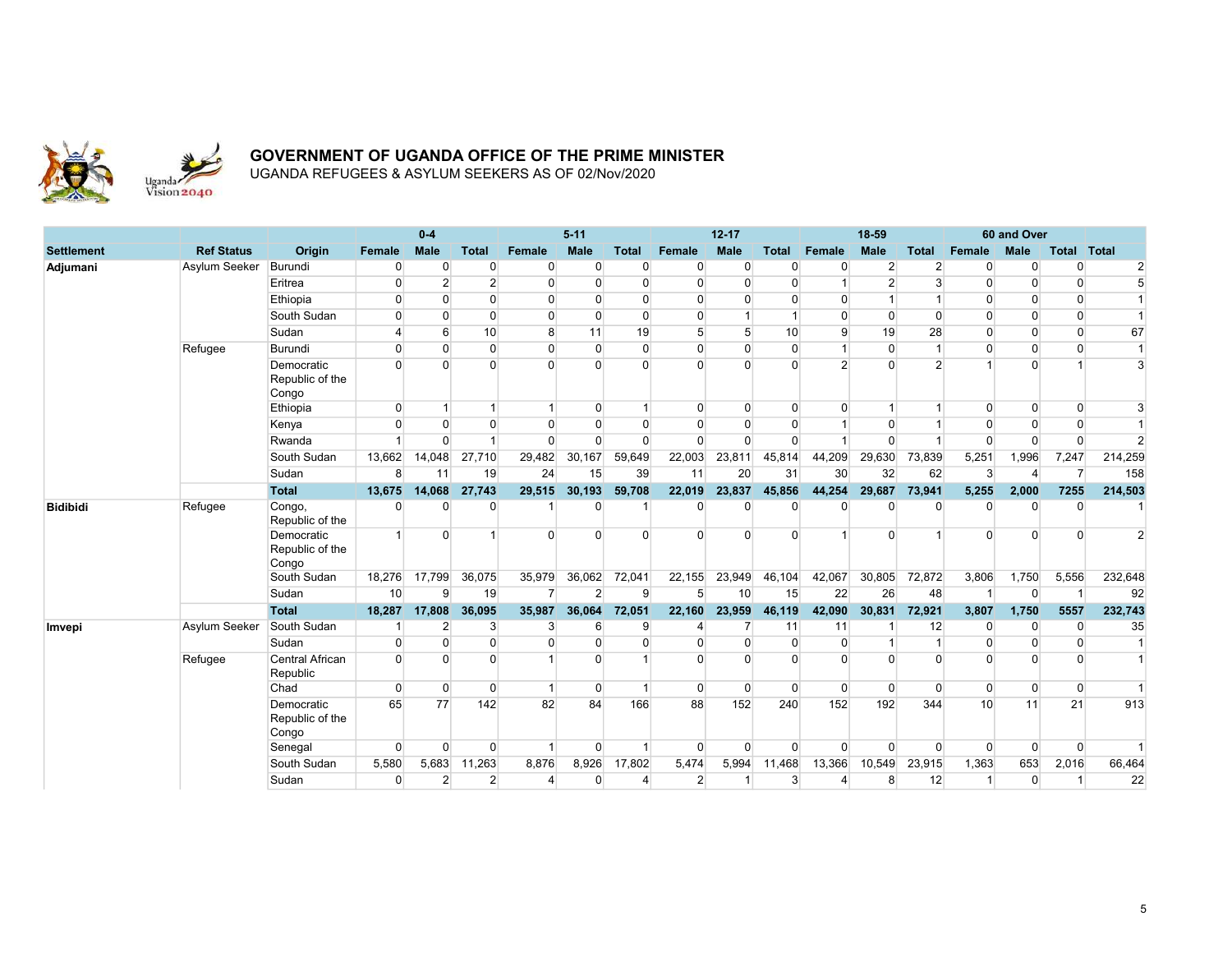

|                   |                   |                                        |                | $0 - 4$        |                |                      | $5 - 11$       |                         |                | $12 - 17$      |                |                | 18-59          |                |          | 60 and Over |                |                 |
|-------------------|-------------------|----------------------------------------|----------------|----------------|----------------|----------------------|----------------|-------------------------|----------------|----------------|----------------|----------------|----------------|----------------|----------|-------------|----------------|-----------------|
| <b>Settlement</b> | <b>Ref Status</b> | Origin                                 | Female         | <b>Male</b>    | <b>Total</b>   | <b>Female</b>        | <b>Male</b>    | <b>Total</b>            | Female         | <b>Male</b>    | <b>Total</b>   | Female         | <b>Male</b>    | <b>Total</b>   | Female   | <b>Male</b> | Total          | Total           |
| Adjumani          | Asylum Seeker     | Burundi                                | 0              | $\Omega$       | $\overline{0}$ | $\Omega$             | $\Omega$       | $\Omega$                | $\Omega$       | $\Omega$       | $\overline{0}$ | $\mathbf{0}$   | $\overline{2}$ | $\overline{2}$ |          | O           | $\overline{0}$ | $\overline{2}$  |
|                   |                   | Eritrea                                | $\mathbf 0$    | $\overline{2}$ | $\overline{2}$ | $\Omega$             | $\mathbf 0$    | $\overline{0}$          | $\Omega$       | $\Omega$       | $\overline{0}$ |                | $\overline{2}$ | 3              | $\Omega$ | $\Omega$    | $\Omega$       | $5\overline{)}$ |
|                   |                   | Ethiopia                               | $\Omega$       | $\Omega$       | $\Omega$       | $\Omega$             | $\Omega$       | $\Omega$                | $\Omega$       | $\mathbf{0}$   | $\Omega$       | $\Omega$       | -1             |                | $\Omega$ | $\Omega$    | $\Omega$       |                 |
|                   |                   | South Sudan                            | $\overline{0}$ | $\Omega$       | $\overline{0}$ | $\overline{0}$       | $\Omega$       | $\overline{0}$          | $\mathbf{0}$   |                | $\overline{1}$ | $\Omega$       | $\Omega$       | $\Omega$       |          | $\Omega$    | $\overline{0}$ | 1               |
|                   |                   | Sudan                                  | $\overline{4}$ | 6              | 10             | 8                    | 11             | 19                      | 5 <sup>5</sup> | 5              | 10             | 9              | 19             | 28             | $\Omega$ | $\Omega$    | $\Omega$       | 67              |
|                   | Refugee           | <b>Burundi</b>                         | $\Omega$       | $\Omega$       | $\overline{0}$ | $\overline{0}$       | $\overline{0}$ | $\overline{0}$          | $\mathbf{0}$   | $\Omega$       | $\overline{0}$ | $\overline{1}$ | $\overline{0}$ | $\overline{1}$ | $\Omega$ | $\Omega$    | $\Omega$       | 1               |
|                   |                   | Democratic<br>Republic of the<br>Congo | $\Omega$       | $\Omega$       | $\Omega$       | $\Omega$             | $\Omega$       | $\Omega$                | $\Omega$       | $\Omega$       | $\Omega$       | $\overline{2}$ | $\Omega$       | $\overline{2}$ |          | $\Omega$    |                | 3               |
|                   |                   | Ethiopia                               | $\overline{0}$ |                | $\overline{1}$ | $\overline{1}$       | $\overline{0}$ | $\overline{1}$          | $\mathbf{0}$   | $\overline{0}$ | $\overline{0}$ | $\Omega$       | $\mathbf{1}$   |                | $\Omega$ | $\Omega$    | $\overline{0}$ | 3               |
|                   |                   | Kenya                                  | $\Omega$       | $\Omega$       | $\Omega$       | $\Omega$             | $\Omega$       | $\Omega$                | $\Omega$       | $\Omega$       | $\Omega$       |                | $\Omega$       |                | n        | $\Omega$    | $\Omega$       |                 |
|                   |                   | Rwanda                                 | $\overline{1}$ | $\Omega$       | $\overline{1}$ | $\overline{0}$       | $\Omega$       | $\mathbf 0$             | $\mathbf 0$    | $\Omega$       | $\Omega$       |                | $\Omega$       |                |          | $\Omega$    | $\overline{0}$ | $\overline{2}$  |
|                   |                   | South Sudan                            | 13,662         | 14,048         | 27,710         | 29,482               | 30,167         | 59,649                  | 22,003         | 23,811         | 45,814         | 44,209         | 29,630         | 73,839         | 5,251    | 1,996       | 7,247          | 214,259         |
|                   |                   | Sudan                                  | 8              | 11             | 19             | 24                   | 15             | 39                      | 11             | 20             | 31             | 30             | 32             | 62             | 3        | Δ           | $\overline{7}$ | 158             |
|                   |                   | <b>Total</b>                           | 13,675         | 14,068         | 27,743         | 29,515               | 30,193         | 59,708                  | 22,019         | 23,837         | 45,856         | 44,254         | 29,687         | 73,941         | 5,255    | 2,000       | 7255           | 214,503         |
| <b>Bidibidi</b>   | Refugee           | Congo,<br>Republic of the              | $\Omega$       | <sup>0</sup>   | 0              |                      | 0              |                         | O              | $\Omega$       | $\Omega$       | $\Omega$       | o              | $\Omega$       |          |             | $\Omega$       |                 |
|                   |                   | Democratic<br>Republic of the<br>Congo | $\overline{1}$ | $\Omega$       | $\overline{1}$ | $\Omega$             | $\Omega$       | $\Omega$                | $\Omega$       | $\Omega$       | $\Omega$       |                | $\Omega$       |                | $\Omega$ | $\Omega$    | $\Omega$       | $\overline{2}$  |
|                   |                   | South Sudan                            | 18,276         | 17,799         | 36,075         | 35,979               | 36,062         | 72,041                  | 22,155         | 23,949         | 46,104         | 42,067         | 30,805         | 72,872         | 3,806    | 1,750       | 5,556          | 232,648         |
|                   |                   | Sudan                                  | 10             | 9              | 19             | $\overline{7}$       | $\overline{2}$ | 9                       | 5              | 10             | 15             | 22             | 26             | 48             |          | $\Omega$    |                | 92              |
|                   |                   | <b>Total</b>                           | 18,287         | 17,808         | 36,095         | 35,987               | 36,064         | 72,051                  | 22,160         | 23,959         | 46,119         | 42,090         | 30,831         | 72,921         | 3,807    | 1,750       | 5557           | 232,743         |
| Imvepi            | Asylum Seeker     | South Sudan                            |                | 2              | 3              | 3 <sup>1</sup>       | 6              | 9                       |                |                | 11             | 11             |                | 12             | $\Omega$ | $\Omega$    | $\mathbf 0$    | 35              |
|                   |                   | Sudan                                  | $\Omega$       | $\Omega$       | $\Omega$       | $\Omega$             | $\Omega$       | $\Omega$                | $\Omega$       | $\Omega$       | $\Omega$       | $\Omega$       | $\overline{1}$ | $\overline{1}$ | n        | $\Omega$    | $\Omega$       | 1               |
|                   | Refugee           | <b>Central African</b><br>Republic     | $\Omega$       | $\Omega$       | $\Omega$       |                      | $\Omega$       | 1                       | $\Omega$       | $\Omega$       | $\Omega$       | $\Omega$       | $\Omega$       | $\Omega$       |          | $\Omega$    | $\Omega$       |                 |
|                   |                   | Chad                                   | $\Omega$       | $\Omega$       | $\overline{0}$ | $\blacktriangleleft$ | $\Omega$       | $\overline{\mathbf{1}}$ | $\Omega$       | $\Omega$       | $\Omega$       | $\overline{0}$ | $\Omega$       | $\Omega$       | $\Omega$ | $\Omega$    | $\Omega$       | $\overline{1}$  |
|                   |                   | Democratic<br>Republic of the<br>Congo | 65             | 77             | 142            | 82                   | 84             | 166                     | 88             | 152            | 240            | 152            | 192            | 344            | 10       | 11          | 21             | 913             |
|                   |                   | Senegal                                | $\Omega$       | $\Omega$       | $\overline{0}$ | $\overline{1}$       | $\overline{0}$ | $\overline{\mathbf{1}}$ | $\overline{0}$ | $\overline{0}$ | $\Omega$       | $\Omega$       | $\Omega$       | $\Omega$       | $\Omega$ | $\Omega$    | $\overline{0}$ |                 |
|                   |                   | South Sudan                            | 5,580          | 5,683          | 11,263         | 8,876                | 8,926          | 17,802                  | 5,474          | 5,994          | 11,468         | 13,366         | 10,549         | 23,915         | 1,363    | 653         | 2,016          | 66,464          |
|                   |                   | Sudan                                  | $\overline{0}$ | $\overline{2}$ | $\overline{2}$ | 4                    | $\mathbf 0$    | 4                       | $\overline{2}$ | $\overline{1}$ | 3              | 4              | 8              | 12             |          | $\Omega$    |                | 22              |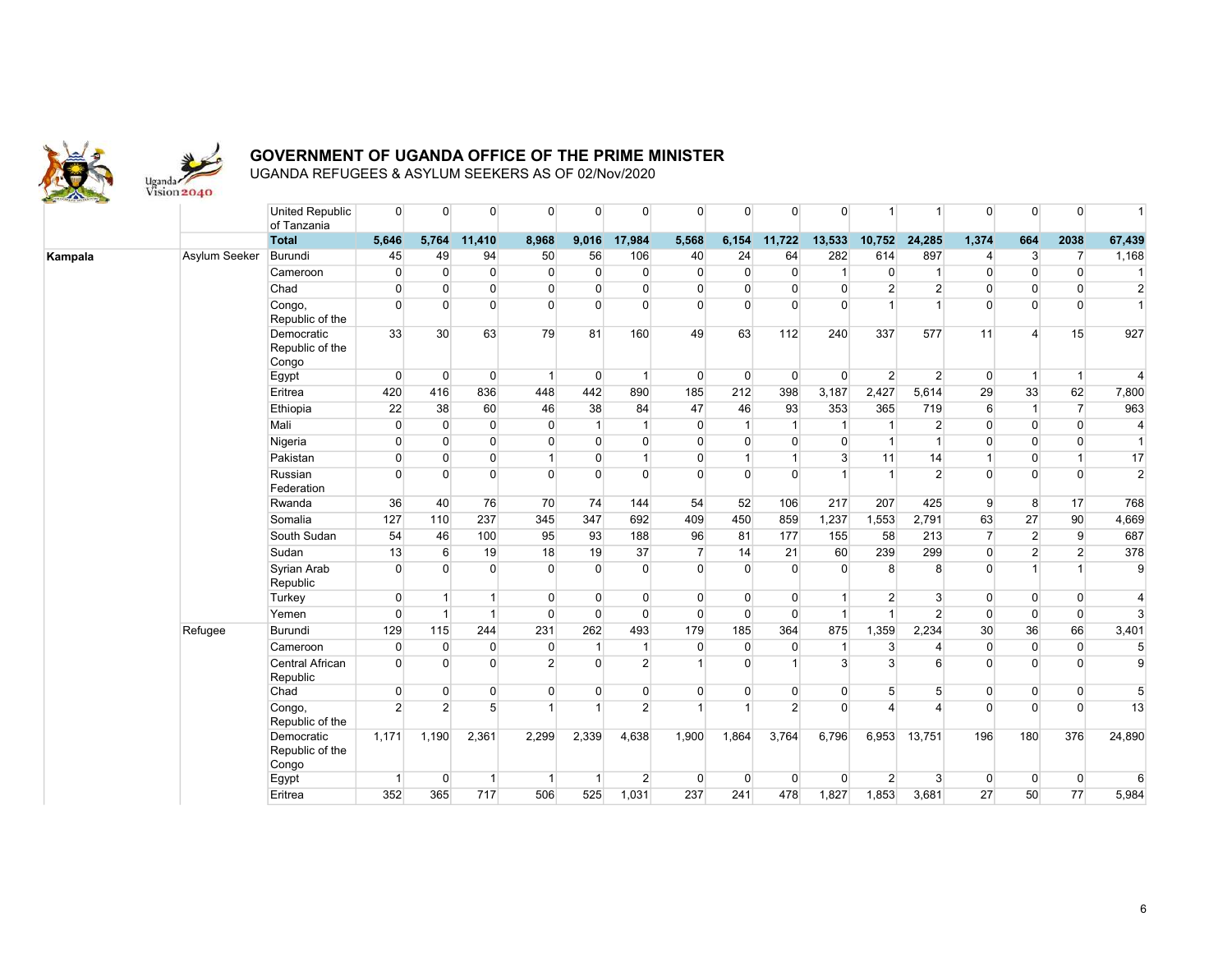

|         |               | <b>United Republic</b><br>of Tanzania  | $\Omega$       | $\overline{0}$   | $\overline{0}$ | $\overline{0}$       | $\Omega$       | $\overline{0}$ | $\Omega$       | $\overline{0}$ | $\overline{0}$ | $\Omega$       | $\mathbf{1}$         | $\overline{1}$ | $\overline{0}$   | $\Omega$       | $\overline{0}$       | 1                |
|---------|---------------|----------------------------------------|----------------|------------------|----------------|----------------------|----------------|----------------|----------------|----------------|----------------|----------------|----------------------|----------------|------------------|----------------|----------------------|------------------|
|         |               | <b>Total</b>                           | 5,646          | 5,764            | 11,410         | 8,968                | 9,016          | 17,984         | 5,568          | 6,154          | 11,722         | 13,533         | 10,752               | 24,285         | 1,374            | 664            | 2038                 | 67,439           |
| Kampala | Asylum Seeker | Burundi                                | 45             | 49               | 94             | 50                   | 56             | 106            | 40             | 24             | 64             | 282            | 614                  | 897            | $\overline{4}$   | $\mathbf{3}$   | $\overline{7}$       | 1,168            |
|         |               | Cameroon                               | $\Omega$       | $\Omega$         | $\overline{0}$ | $\overline{0}$       | $\Omega$       | $\overline{0}$ | $\overline{0}$ | $\overline{0}$ | $\overline{0}$ | $\mathbf{1}$   | $\overline{0}$       | $\mathbf{1}$   | $\Omega$         | $\Omega$       | $\overline{0}$       | $\overline{1}$   |
|         |               | Chad                                   | $\overline{0}$ | $\overline{0}$   | $\overline{0}$ | $\overline{0}$       | $\overline{0}$ | $\overline{0}$ | $\overline{0}$ | $\overline{0}$ | $\overline{0}$ | $\overline{0}$ | $\overline{2}$       | $\overline{2}$ | $\overline{0}$   | $\Omega$       | $\overline{0}$       | $\overline{2}$   |
|         |               | Congo,<br>Republic of the              | $\Omega$       | $\Omega$         | $\Omega$       | $\overline{0}$       | $\Omega$       | $\Omega$       | $\Omega$       | $\Omega$       | $\Omega$       | $\Omega$       | $\overline{1}$       | $\overline{1}$ | $\Omega$         | $\Omega$       | $\overline{0}$       | $\overline{1}$   |
|         |               | Democratic<br>Republic of the<br>Congo | 33             | 30 <sup>°</sup>  | 63             | 79                   | 81             | 160            | 49             | 63             | 112            | 240            | 337                  | 577            | 11               | $\Delta$       | 15                   | 927              |
|         |               | Egypt                                  | $\Omega$       | $\overline{0}$   | $\overline{0}$ | $\mathbf{1}$         | $\overline{0}$ | $\overline{1}$ | $\overline{0}$ | $\overline{0}$ | $\overline{0}$ | $\overline{0}$ | $\overline{2}$       | $\overline{2}$ | $\overline{0}$   | $\overline{1}$ | $\vert$              | $\overline{4}$   |
|         |               | Eritrea                                | 420            | 416              | 836            | 448                  | 442            | 890            | 185            | 212            | 398            | 3,187          | 2,427                | 5,614          | 29               | 33             | 62                   | 7,800            |
|         |               | Ethiopia                               | 22             | 38               | 60             | 46                   | 38             | 84             | 47             | 46             | 93             | 353            | 365                  | 719            | $6 \overline{6}$ | $\mathbf{1}$   | $\overline{7}$       | 963              |
|         |               | Mali                                   | $\overline{0}$ | $\overline{0}$   | $\overline{0}$ | $\overline{0}$       | $\mathbf{1}$   | $\overline{1}$ | $\overline{0}$ | $\mathbf{1}$   | $\mathbf{1}$   | 1              | $\overline{1}$       | $\overline{2}$ | $\Omega$         | $\Omega$       | $\overline{0}$       | $\overline{4}$   |
|         |               | Nigeria                                | $\Omega$       | $\Omega$         | $\overline{0}$ | $\overline{0}$       | $\overline{0}$ | $\overline{0}$ | $\overline{0}$ | $\overline{0}$ | $\overline{0}$ | $\Omega$       | $\overline{1}$       | $\overline{1}$ | $\Omega$         | $\Omega$       | $\Omega$             | $\vert$ 1        |
|         |               | Pakistan                               | $\mathbf 0$    | $\overline{0}$   | $\overline{0}$ | $\mathbf{1}$         | $\overline{0}$ | $\mathbf{1}$   | $\overline{0}$ |                | $\mathbf{1}$   | 3 <sup>1</sup> | 11                   | 14             | 1                | $\Omega$       | $\blacktriangleleft$ | 17               |
|         |               | Russian<br>Federation                  | $\Omega$       | $\Omega$         | $\overline{0}$ | $\overline{0}$       | $\Omega$       | $\overline{0}$ | $\overline{0}$ | $\Omega$       | $\Omega$       |                | $\overline{1}$       | $\overline{2}$ | $\Omega$         | $\Omega$       | $\Omega$             | $\overline{2}$   |
|         |               | Rwanda                                 | 36             | 40               | 76             | 70                   | 74             | 144            | 54             | 52             | 106            | 217            | 207                  | 425            | 9                | 8              | 17                   | 768              |
|         |               | Somalia                                | 127            | 110              | 237            | 345                  | 347            | 692            | 409            | 450            | 859            | 1,237          | 1,553                | 2,791          | 63               | 27             | 90                   | 4,669            |
|         |               | South Sudan                            | 54             | 46               | 100            | 95                   | 93             | 188            | 96             | 81             | 177            | 155            | 58                   | 213            | $\overline{7}$   | $\overline{2}$ | $\overline{9}$       | 687              |
|         |               | Sudan                                  | 13             | $6 \overline{6}$ | 19             | 18                   | 19             | 37             | $\overline{7}$ | 14             | 21             | 60             | 239                  | 299            | $\Omega$         | $\overline{2}$ | 2 <sup>1</sup>       | 378              |
|         |               | Syrian Arab<br>Republic                | $\Omega$       | $\Omega$         | $\Omega$       | $\Omega$             | $\Omega$       | $\Omega$       | $\overline{0}$ | $\Omega$       | $\Omega$       | $\Omega$       | 8                    | 8              | $\Omega$         |                |                      | $\overline{9}$   |
|         |               | Turkey                                 | $\overline{0}$ | $\mathbf{1}$     | $\vert$        | $\overline{0}$       | $\overline{0}$ | $\overline{0}$ | $\overline{0}$ | $\overline{0}$ | $\overline{0}$ | 1              | $\overline{2}$       | 3 <sup>1</sup> | $\overline{0}$   | $\overline{0}$ | $\overline{0}$       | 4                |
|         |               | Yemen                                  | $\Omega$       | $\mathbf{1}$     | $\vert$ 1      | $\overline{0}$       | $\Omega$       | $\overline{0}$ | $\overline{0}$ | $\overline{0}$ | $\Omega$       | $\overline{1}$ | $\mathbf{1}$         | 2 <sup>1</sup> | $\Omega$         | $\Omega$       | $\overline{0}$       | 3                |
|         | Refugee       | Burundi                                | 129            | 115              | 244            | 231                  | 262            | 493            | 179            | 185            | 364            | 875            | 1,359                | 2,234          | 30 <sup>°</sup>  | 36             | 66                   | 3,401            |
|         |               | Cameroon                               | $\overline{0}$ | $\overline{0}$   | $\overline{0}$ | $\overline{0}$       | $\mathbf{1}$   | $\overline{1}$ | $\overline{0}$ | $\overline{0}$ | $\overline{0}$ | 1              | 3                    | $\overline{4}$ | $\Omega$         | $\Omega$       | $\overline{0}$       | $5\overline{)}$  |
|         |               | Central African<br>Republic            | $\Omega$       | $\Omega$         | $\overline{0}$ | $\overline{2}$       | $\Omega$       | $\overline{2}$ | $\vert$        | $\Omega$       | $\overline{1}$ | 3 <sup>1</sup> | $\mathbf{3}$         | 6              | $\Omega$         | $\Omega$       | $\overline{0}$       | 9                |
|         |               | Chad                                   | $\overline{0}$ | $\overline{0}$   | $\overline{0}$ | $\overline{0}$       | $\overline{0}$ | $\overline{0}$ | $\overline{0}$ | $\overline{0}$ | $\overline{0}$ | $\overline{0}$ | 5                    | 5              | 0                | $\overline{0}$ | $\overline{0}$       | 5                |
|         |               | Congo,<br>Republic of the              | $\overline{2}$ | $\overline{2}$   | 5 <sup>5</sup> | $\blacktriangleleft$ |                | $\overline{2}$ | $\mathbf{1}$   |                | $\overline{2}$ | $\Omega$       | $\overline{\Lambda}$ | $\lambda$      | $\Omega$         | $\Omega$       | $\Omega$             | 13               |
|         |               | Democratic<br>Republic of the<br>Congo | 1,171          | 1,190            | 2,361          | 2,299                | 2,339          | 4,638          | 1,900          | 1,864          | 3,764          | 6,796          | 6,953                | 13,751         | 196              | 180            | 376                  | 24,890           |
|         |               | Egypt                                  | $\overline{1}$ | $\overline{0}$   | $\overline{1}$ | $\mathbf{1}$         | $\overline{1}$ | $\overline{2}$ | $\overline{0}$ | $\Omega$       | $\overline{0}$ | $\Omega$       | $\overline{2}$       | 3              | $\overline{0}$   | $\Omega$       | $\overline{0}$       | $6 \overline{6}$ |
|         |               | Eritrea                                | 352            | 365              | 717            | 506                  | 525            | 1,031          | 237            | 241            | 478            | 1,827          | 1,853                | 3,681          | 27               | 50             | 77                   | 5,984            |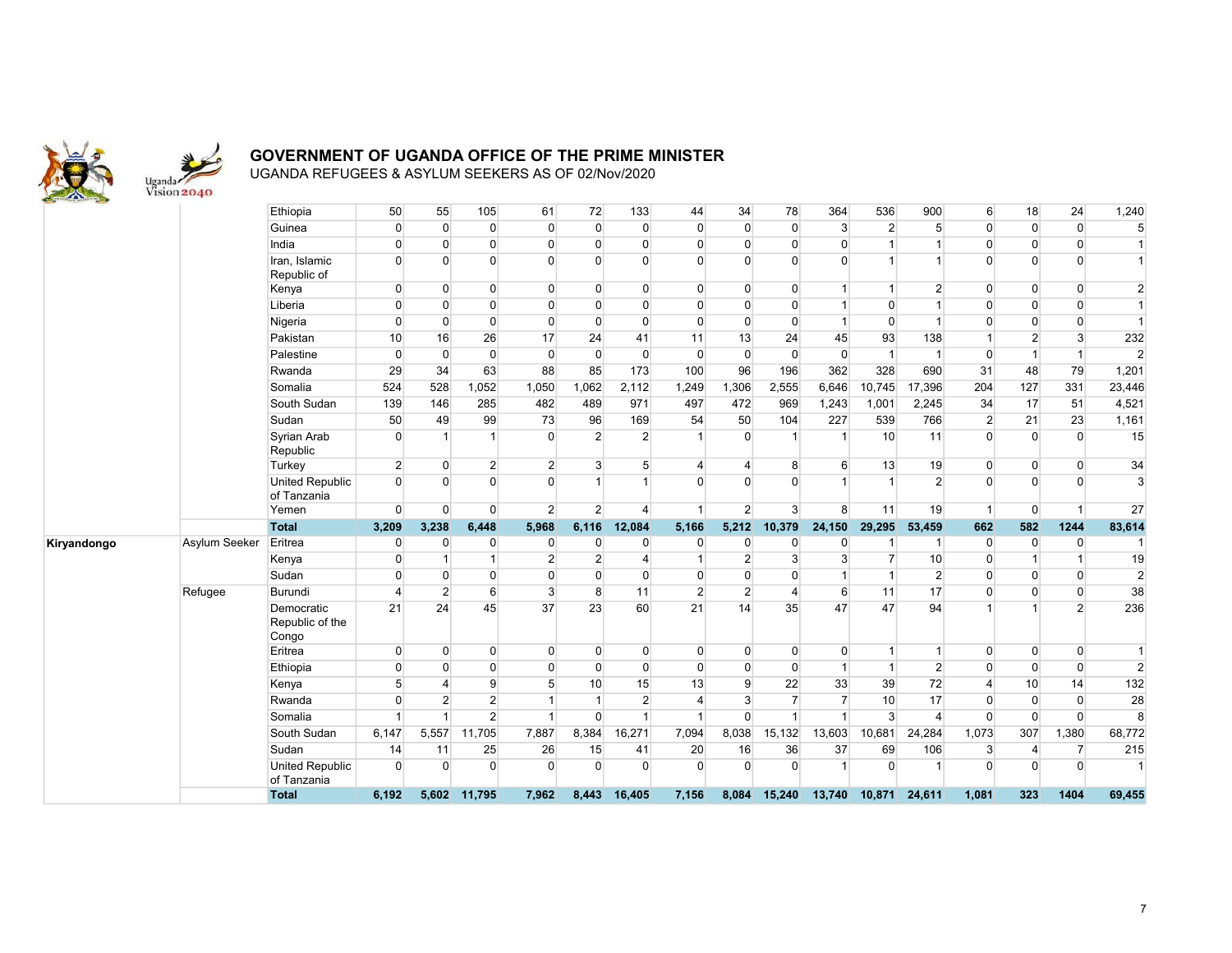

| <b>THE R. P. LEWIS CO., LANSING, MICH. 49-14039-1-120-2</b> |               | Ethiopia                               | 50                      | 55             | 105                            | 61             | 72             | 133                      | 44             | 34             | 78             | 364                                           | 536            | 900             | 6              | 18             | 24               | 1,240          |
|-------------------------------------------------------------|---------------|----------------------------------------|-------------------------|----------------|--------------------------------|----------------|----------------|--------------------------|----------------|----------------|----------------|-----------------------------------------------|----------------|-----------------|----------------|----------------|------------------|----------------|
|                                                             |               | Guinea                                 | $\overline{0}$          | $\overline{0}$ | $\overline{0}$                 | $\overline{0}$ | $\mathbf 0$    | $\overline{0}$           | $\overline{0}$ | $\mathbf{0}$   | $\overline{0}$ | $\mathbf{3}$                                  | $\overline{2}$ | 5 <sup>1</sup>  | $\Omega$       | $\overline{0}$ | $\overline{0}$   | 5              |
|                                                             |               | India                                  | $\overline{0}$          | $\Omega$       | $\mathbf 0$                    | $\overline{0}$ | $\mathbf 0$    | $\overline{0}$           | $\overline{0}$ | $\mathbf{0}$   | $\mathbf{0}$   | $\pmb{0}$                                     | $\mathbf{1}$   |                 | $\Omega$       | $\Omega$       | $\overline{0}$   | $\vert$ 1      |
|                                                             |               | Iran, Islamic<br>Republic of           | $\overline{0}$          | $\Omega$       | $\overline{0}$                 | $\overline{0}$ | $\Omega$       | $\Omega$                 | $\overline{0}$ | $\Omega$       | $\Omega$       | $\Omega$                                      | 1              |                 | O              | $\Omega$       | $\overline{0}$   | $\mathbf{1}$   |
|                                                             |               | Kenya                                  | $\overline{0}$          | $\overline{0}$ | $\overline{0}$                 | $\overline{0}$ | $\mathbf 0$    | $\overline{0}$           | $\overline{0}$ | $\mathbf{0}$   | $\overline{0}$ | $\mathbf{1}$                                  | 1              | $\mathbf{2}$    | $\overline{0}$ | $\Omega$       | $\overline{0}$   | $\overline{2}$ |
|                                                             |               | Liberia                                | $\overline{0}$          | $\overline{0}$ | $\overline{0}$                 | $\overline{0}$ | $\mathbf 0$    | $\overline{0}$           | $\overline{0}$ | $\mathbf{0}$   | $\mathbf{0}$   | $\overline{1}$                                | $\Omega$       | $\overline{1}$  | $\Omega$       | $\Omega$       | $\overline{0}$   | $\mathbf{1}$   |
|                                                             |               | Nigeria                                | $\overline{0}$          | $\overline{0}$ | $\mathbf 0$                    | $\overline{0}$ | $\mathbf 0$    | $\overline{0}$           | $\overline{0}$ | $\mathbf{0}$   | $\overline{0}$ | $\mathbf{1}$                                  | $\overline{0}$ | $\overline{1}$  | $\Omega$       | $\Omega$       | $\overline{0}$   | $\overline{1}$ |
|                                                             |               | Pakistan                               | 10                      | 16             | 26                             | 17             | 24             | 41                       | 11             | 13             | 24             | 45                                            | 93             | 138             |                | $\overline{2}$ | $\mathbf{3}$     | 232            |
|                                                             |               | Palestine                              | $\overline{0}$          | $\Omega$       | $\overline{0}$                 | $\overline{0}$ | $\mathbf 0$    | $\overline{0}$           | $\overline{0}$ | $\mathbf{0}$   | $\overline{0}$ | $\mathbf 0$                                   | $\mathbf{1}$   | $\overline{1}$  | $\Omega$       | $\overline{1}$ | $\overline{1}$   | $\overline{2}$ |
|                                                             |               | Rwanda                                 | 29                      | 34             | 63                             | 88             | 85             | 173                      | 100            | 96             | 196            | 362                                           | 328            | 690             | 31             | 48             | 79               | 1,201          |
|                                                             |               | Somalia                                | 524                     | 528            | 1,052                          | 1,050          | 1,062          | 2,112                    | 1,249          | 1,306          | 2,555          | 6,646                                         | 10,745         | 17,396          | 204            | 127            | 331              | 23,446         |
|                                                             |               | South Sudan                            | 139                     | 146            | 285                            | 482            | 489            | 971                      | 497            | 472            | 969            | 1,243                                         | 1,001          | 2,245           | 34             | 17             | 51               | 4,521          |
|                                                             |               | Sudan                                  | 50                      | 49             | 99                             | 73             | 96             | 169                      | 54             | 50             | 104            | 227                                           | 539            | 766             | $\overline{2}$ | 21             | 23               | 1,161          |
|                                                             |               | Syrian Arab<br>Republic                | $\overline{0}$          |                | $\vert$                        | $\overline{0}$ | $\overline{2}$ | $\overline{2}$           |                | $\Omega$       | $\overline{1}$ |                                               | 10             | 11              | $\Omega$       | $\Omega$       | $\Omega$         | 15             |
|                                                             |               | Turkey                                 | $\overline{2}$          | $\overline{0}$ | $2 \overline{2}$               | $\overline{2}$ | 3              | 5 <sup>5</sup>           | $\overline{4}$ | 4              | 8              | 6                                             | 13             | 19              | $\overline{0}$ | $\overline{0}$ | $\overline{0}$   | 34             |
|                                                             |               | <b>United Republic</b><br>of Tanzania  | $\Omega$                | $\Omega$       | $\Omega$                       | $\overline{0}$ | $\mathbf 1$    | 1                        | $\overline{0}$ | $\Omega$       | $\Omega$       | $\mathbf{1}$                                  | $\mathbf{1}$   | $\overline{2}$  | $\Omega$       | $\Omega$       | $\overline{0}$   | $\overline{3}$ |
|                                                             |               | Yemen                                  | $\overline{0}$          | $\Omega$       | $\overline{0}$                 | $\overline{2}$ | $\overline{2}$ | $\Delta$                 | 1              | $\overline{2}$ | $\overline{3}$ | 8                                             | 11             | 19              | $\mathbf{1}$   | $\Omega$       | -1               | 27             |
|                                                             |               | <b>Total</b>                           | 3,209                   | 3,238          | 6,448                          | 5,968          | 6,116          | 12,084                   | 5,166          | 5,212          | 10,379         | 24,150                                        | 29,295         | 53,459          | 662            | 582            | 1244             | 83,614         |
| Kiryandongo                                                 | Asylum Seeker | Eritrea                                | $\overline{0}$          | $\overline{0}$ | $\overline{0}$                 | $\overline{0}$ | 0              | $\mathbf{0}$             | $\overline{0}$ | $\mathbf{0}$   | $\mathbf{0}$   | $\mathbf{0}$                                  | -1             | -1              | $\overline{0}$ | $\overline{0}$ | $\overline{0}$   | -1             |
|                                                             |               | Kenya                                  | $\overline{0}$          | -1             | $\mathbf{1}$                   | $\overline{2}$ | $\overline{2}$ | 4                        | 1              | $\overline{2}$ | 3              | 3                                             | $\overline{7}$ | 10 <sup>1</sup> | $\Omega$       | $\mathbf 1$    |                  | 19             |
|                                                             |               | Sudan                                  | $\overline{0}$          | $\overline{0}$ | $\mathbf{0}$                   | $\overline{0}$ | $\mathbf{0}$   | $\overline{0}$           | $\overline{0}$ | $\mathbf{0}$   | $\mathbf{0}$   | $\mathbf{1}$                                  | $\mathbf{1}$   | $\overline{2}$  | $\Omega$       | $\Omega$       | $\overline{0}$   | $\mathbf{2}$   |
|                                                             | Refugee       | Burundi                                | $\overline{\mathbf{4}}$ | $\overline{2}$ | $6 \overline{}$                | $\mathbf{3}$   | 8              | 11                       | $\overline{2}$ | $\overline{2}$ | 4              | $6\phantom{.}$                                | 11             | 17              | $\Omega$       | $\Omega$       | $\overline{0}$   | 38             |
|                                                             |               | Democratic<br>Republic of the<br>Congo | 21                      | 24             | 45                             | 37             | 23             | 60                       | 21             | 14             | 35             | 47                                            | 47             | 94              |                |                | 2 <sup>1</sup>   | 236            |
|                                                             |               | Eritrea                                | $\overline{0}$          | $\overline{0}$ | $\overline{0}$                 | $\overline{0}$ | 0              | $\overline{0}$           | $\overline{0}$ | $\mathbf{0}$   | $\overline{0}$ | $\overline{0}$                                | $\mathbf{1}$   | $\mathbf{1}$    | $\Omega$       | $\overline{0}$ | $\overline{0}$   | $\overline{1}$ |
|                                                             |               | Ethiopia                               | $\overline{0}$          | $\Omega$       | $\overline{0}$                 | $\overline{0}$ | $\Omega$       | $\Omega$                 | $\overline{0}$ | $\Omega$       | $\Omega$       | $\mathbf{1}$                                  | $\mathbf{1}$   | $\overline{2}$  | $\Omega$       | $\overline{0}$ | $\overline{0}$   | $\overline{2}$ |
|                                                             |               | Kenya                                  | 5                       | $\overline{4}$ | 9                              | 5              | 10             | 15                       | 13             | 9              | 22             | 33                                            | 39             | 72              |                | 10             | 14               | 132            |
|                                                             |               | Rwanda                                 | $\mathbf{0}$            | $\overline{2}$ | $\overline{2}$                 | 1              | $\mathbf{1}$   | $\overline{2}$           | $\overline{4}$ | 3              | $\overline{7}$ | $\overline{7}$                                | 10             | 17              | $\Omega$       | $\overline{0}$ | $\overline{0}$   | 28             |
|                                                             |               |                                        |                         |                | $\overline{2}$                 | $\overline{1}$ | $\Omega$       | $\blacktriangleleft$     | -1             | $\Omega$       | $\overline{1}$ | $\overline{1}$                                | $\overline{3}$ | $\overline{4}$  | $\Omega$       | $\overline{0}$ | $\overline{0}$   | 8              |
|                                                             |               | Somalia                                |                         |                |                                |                |                |                          |                |                |                |                                               |                |                 |                |                |                  |                |
|                                                             |               | South Sudan                            | 6,147                   | 5,557          | 11,705                         | 7,887          | 8,384          | 16,271                   | 7,094          | 8,038          | 15,132         | 13,603                                        | 10,681         | 24,284          | 1,073          | 307            | 1,380            | 68,772         |
|                                                             |               | Sudan                                  | 14                      | 11             | 25                             | 26             | 15             | 41                       | 20             | 16             | 36             | 37                                            | 69             | 106             | 3              | $\overline{4}$ | $\overline{7}$   | 215            |
|                                                             |               | <b>United Republic</b><br>of Tanzania  | $\Omega$                | $\Omega$       | $\overline{0}$<br>5,602 11,795 | $\overline{0}$ | $\Omega$       | $\overline{0}$<br>16,405 | $\overline{0}$ | $\Omega$       | $\mathbf{0}$   | $\overline{1}$<br>15,240 13,740 10,871 24,611 | $\overline{0}$ | 1               | $\Omega$       | $\Omega$       | $\Omega$<br>1404 | 1              |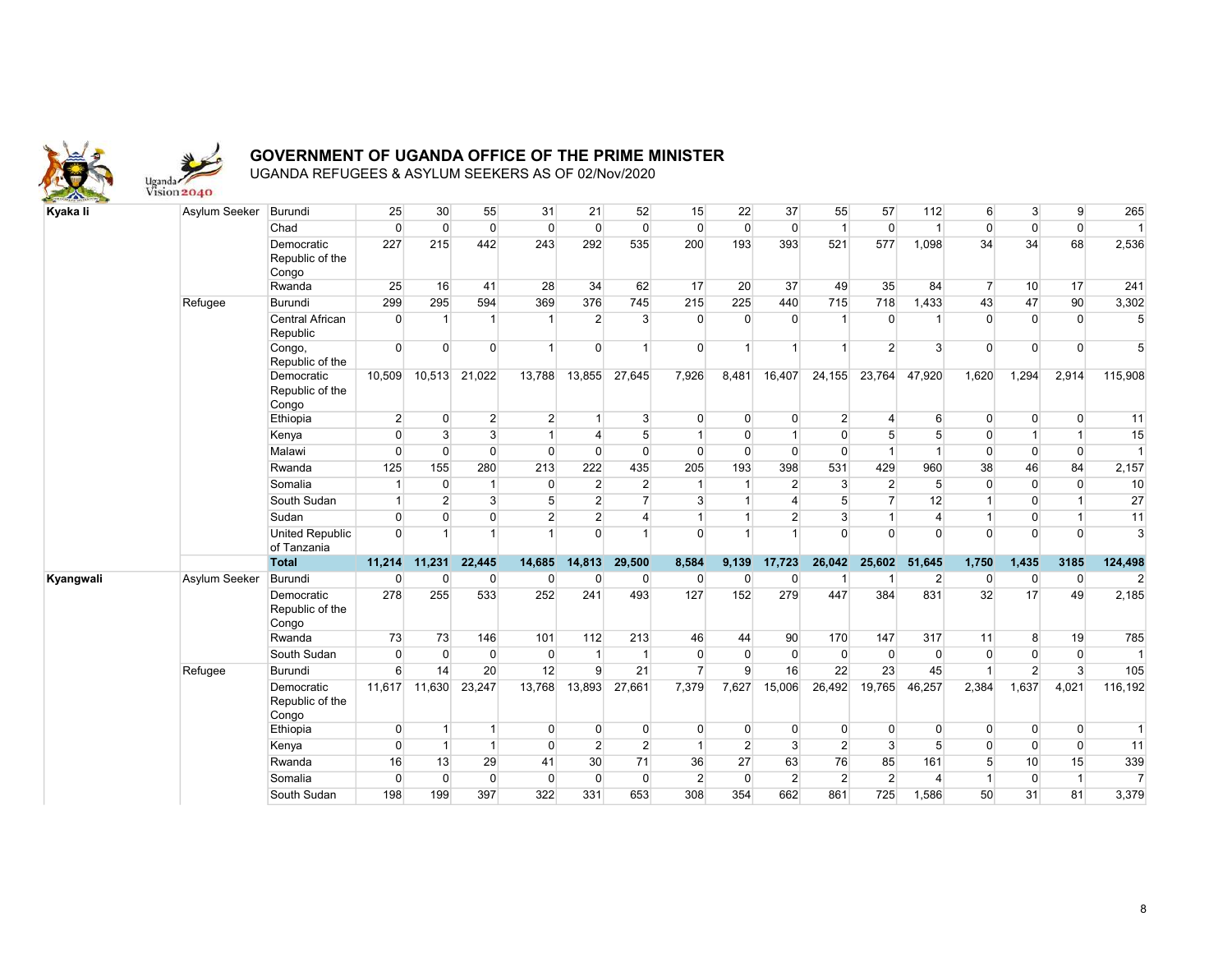

| Kyaka li  | Asylum Seeker | Burundi                                | 25               | 30             | 55             | 31             | 21              | 52             | 15             | 22             | 37             | 55             | 57             | 112            | $6 \overline{6}$ | $\mathbf{3}$   | 9              | 265            |
|-----------|---------------|----------------------------------------|------------------|----------------|----------------|----------------|-----------------|----------------|----------------|----------------|----------------|----------------|----------------|----------------|------------------|----------------|----------------|----------------|
|           |               | Chad                                   | $\overline{0}$   | $\overline{0}$ | $\overline{0}$ | $\overline{0}$ | $\overline{0}$  | $\overline{0}$ | $\mathbf 0$    | $\mathbf 0$    | $\overline{0}$ | $\overline{1}$ | $\mathbf{0}$   | $\overline{1}$ | $\overline{0}$   | $\overline{0}$ | $\overline{0}$ | $\vert$ 1      |
|           |               | Democratic<br>Republic of the<br>Congo | 227              | 215            | 442            | 243            | 292             | 535            | 200            | 193            | 393            | 521            | 577            | 1,098          | 34               | 34             | 68             | 2,536          |
|           |               | Rwanda                                 | 25               | 16             | 41             | 28             | 34              | 62             | 17             | 20             | 37             | 49             | 35             | 84             | $\overline{7}$   | 10             | 17             | 241            |
|           | Refugee       | <b>Burundi</b>                         | 299              | 295            | 594            | 369            | 376             | 745            | 215            | 225            | 440            | 715            | 718            | 1,433          | 43               | 47             | 90             | 3,302          |
|           |               | Central African<br>Republic            | $\overline{0}$   | $\overline{1}$ | -1             | 1              | $\overline{2}$  | 3 <sup>1</sup> | $\overline{0}$ | $\Omega$       | $\overline{0}$ |                | $\overline{0}$ | 1              | $\Omega$         | $\Omega$       | $\Omega$       | 5 <sup>5</sup> |
|           |               | Congo,<br>Republic of the              | $\Omega$         | $\Omega$       | $\Omega$       | $\mathbf{1}$   | $\overline{0}$  | $\overline{1}$ | $\overline{0}$ |                | $\mathbf{1}$   | $\overline{1}$ | $\overline{2}$ | $\mathbf{3}$   | $\Omega$         | $\Omega$       | $\overline{0}$ | 5 <sup>5</sup> |
|           |               | Democratic<br>Republic of the<br>Congo | 10,509           |                | 10,513 21,022  | 13,788         | 13,855          | 27,645         | 7,926          | 8,481          | 16,407         | 24,155         | 23,764         | 47,920         | 1,620            | 1,294          | 2,914          | 115,908        |
|           |               | Ethiopia                               | $\overline{2}$   | $\overline{0}$ | $\overline{2}$ | $\overline{2}$ | $\mathbf{1}$    | 3 <sup>1</sup> | $\mathbf 0$    | $\mathbf{0}$   | $\overline{0}$ | $\overline{2}$ | $\overline{4}$ | 6              | $\overline{0}$   | $\overline{0}$ | $\overline{0}$ | 11             |
|           |               | Kenya                                  | $\overline{0}$   | $\overline{3}$ | $\overline{3}$ | $\mathbf{1}$   | 4               | 5 <sup>5</sup> | $\mathbf{1}$   | $\Omega$       | 1              | $\Omega$       | 5              | 5              | $\overline{0}$   | 1              |                | 15             |
|           |               | Malawi                                 | $\mathbf 0$      | $\Omega$       | $\overline{0}$ | $\overline{0}$ | $\overline{0}$  | $\overline{0}$ | $\mathbf{0}$   | $\Omega$       | $\mathbf 0$    | $\Omega$       | $\mathbf{1}$   | $\overline{1}$ | $\overline{0}$   | $\overline{0}$ | $\overline{0}$ | $\overline{1}$ |
|           |               | Rwanda                                 | 125              | 155            | 280            | 213            | 222             | 435            | 205            | 193            | 398            | 531            | 429            | 960            | 38               | 46             | 84             | 2,157          |
|           |               | Somalia                                | $\overline{1}$   | $\overline{0}$ | $\mathbf{1}$   | $\overline{0}$ | $\overline{2}$  | $\overline{2}$ | $\vert$        | $\mathbf{1}$   | $\overline{2}$ | 3              | $\overline{2}$ | 5              | $\Omega$         | $\overline{0}$ | $\Omega$       | 10             |
|           |               | South Sudan                            | $\mathbf{1}$     | 2 <sup>1</sup> | $\overline{3}$ | 5 <sup>5</sup> | $\overline{2}$  | $\overline{7}$ | $\mathbf{3}$   |                | $\overline{4}$ | 5              | $\overline{7}$ | 12             | 1                | $\Omega$       | $\overline{1}$ | 27             |
|           |               | Sudan                                  | $\overline{0}$   | $\Omega$       | $\overline{0}$ | $\overline{2}$ | $\overline{2}$  | $\overline{4}$ | $\vert$ 1      |                | $\overline{2}$ | 3 <sup>1</sup> | $\mathbf{1}$   | $\overline{4}$ | $\overline{1}$   | $\overline{0}$ | $\overline{1}$ | 11             |
|           |               | <b>United Republic</b><br>of Tanzania  | $\Omega$         |                | $\overline{1}$ | 1              | $\Omega$        | $\overline{1}$ | $\Omega$       |                | $\overline{1}$ | $\Omega$       | $\Omega$       | $\Omega$       | $\Omega$         | $\Omega$       | $\Omega$       | 3              |
|           |               | <b>Total</b>                           | 11,214           | 11,231         | 22,445         | 14,685         | 14,813          | 29,500         | 8,584          | 9,139          | 17,723         | 26,042         | 25,602         | 51,645         | 1,750            | 1,435          | 3185           | 124,498        |
| Kyangwali | Asylum Seeker | Burundi                                | $\overline{0}$   | $\Omega$       | $\overline{0}$ | $\overline{0}$ | 0               | $\overline{0}$ | $\overline{0}$ | $\Omega$       | $\overline{0}$ | $\overline{1}$ | $\mathbf 1$    | $\overline{2}$ | $\overline{0}$   | $\overline{0}$ | $\overline{0}$ | $\overline{2}$ |
|           |               | Democratic<br>Republic of the<br>Congo | 278              | 255            | 533            | 252            | 241             | 493            | 127            | 152            | 279            | 447            | 384            | 831            | 32               | 17             | 49             | 2,185          |
|           |               | Rwanda                                 | 73               | 73             | 146            | 101            | 112             | 213            | 46             | 44             | 90             | 170            | 147            | 317            | 11               | 8              | 19             | 785            |
|           |               | South Sudan                            | $\overline{0}$   | $\overline{0}$ | $\overline{0}$ | $\overline{0}$ | $\overline{1}$  | $\mathbf{1}$   | $\overline{0}$ | $\mathbf 0$    | $\overline{0}$ | $\overline{0}$ | $\mathbf 0$    | $\overline{0}$ | $\overline{0}$   | $\overline{0}$ | $\overline{0}$ | $\vert$ 1      |
|           | Refugee       | Burundi                                | $6 \overline{6}$ | 14             | 20             | 12             | 9               | 21             | $\overline{7}$ | 9              | 16             | 22             | 23             | 45             | -1               | $\overline{2}$ | $\overline{3}$ | 105            |
|           |               | Democratic<br>Republic of the<br>Congo | 11,617           | 11,630         | 23,247         | 13,768         | 13,893          | 27,661         | 7,379          | 7,627          | 15,006         | 26,492         | 19,765         | 46,257         | 2,384            | 1,637          | 4,021          | 116,192        |
|           |               | Ethiopia                               | $\overline{0}$   | $\overline{1}$ | $\mathbf{1}$   | $\Omega$       | $\overline{0}$  | $\overline{0}$ | $\overline{0}$ | $\Omega$       | $\overline{0}$ | $\Omega$       | $\Omega$       | $\Omega$       | $\Omega$         | $\Omega$       | $\overline{0}$ | $\overline{1}$ |
|           |               | Kenya                                  | $\Omega$         | $\mathbf{1}$   | $\vert$        | $\Omega$       | $\overline{2}$  | $\overline{2}$ | 1              | $\overline{2}$ | $\overline{3}$ | $\overline{2}$ | 3              | 5 <sup>5</sup> | $\Omega$         | $\Omega$       | $\overline{0}$ | 11             |
|           |               | Rwanda                                 | 16               | 13             | 29             | 41             | 30 <sup>°</sup> | 71             | 36             | 27             | 63             | 76             | 85             | 161            | 5                | 10             | 15             | 339            |
|           |               | Somalia                                | $\Omega$         | $\overline{0}$ | $\overline{0}$ | $\overline{0}$ | $\overline{0}$  | $\overline{0}$ | $\overline{2}$ | $\Omega$       | $\overline{2}$ | $\overline{2}$ | $\overline{2}$ | $\overline{4}$ | $\overline{1}$   | $\Omega$       | $\overline{1}$ | $\overline{7}$ |
|           |               | South Sudan                            | 198              | 199            | 397            | 322            | 331             | 653            | 308            | 354            | 662            | 861            | 725            | 1,586          | 50               | 31             | 81             | 3,379          |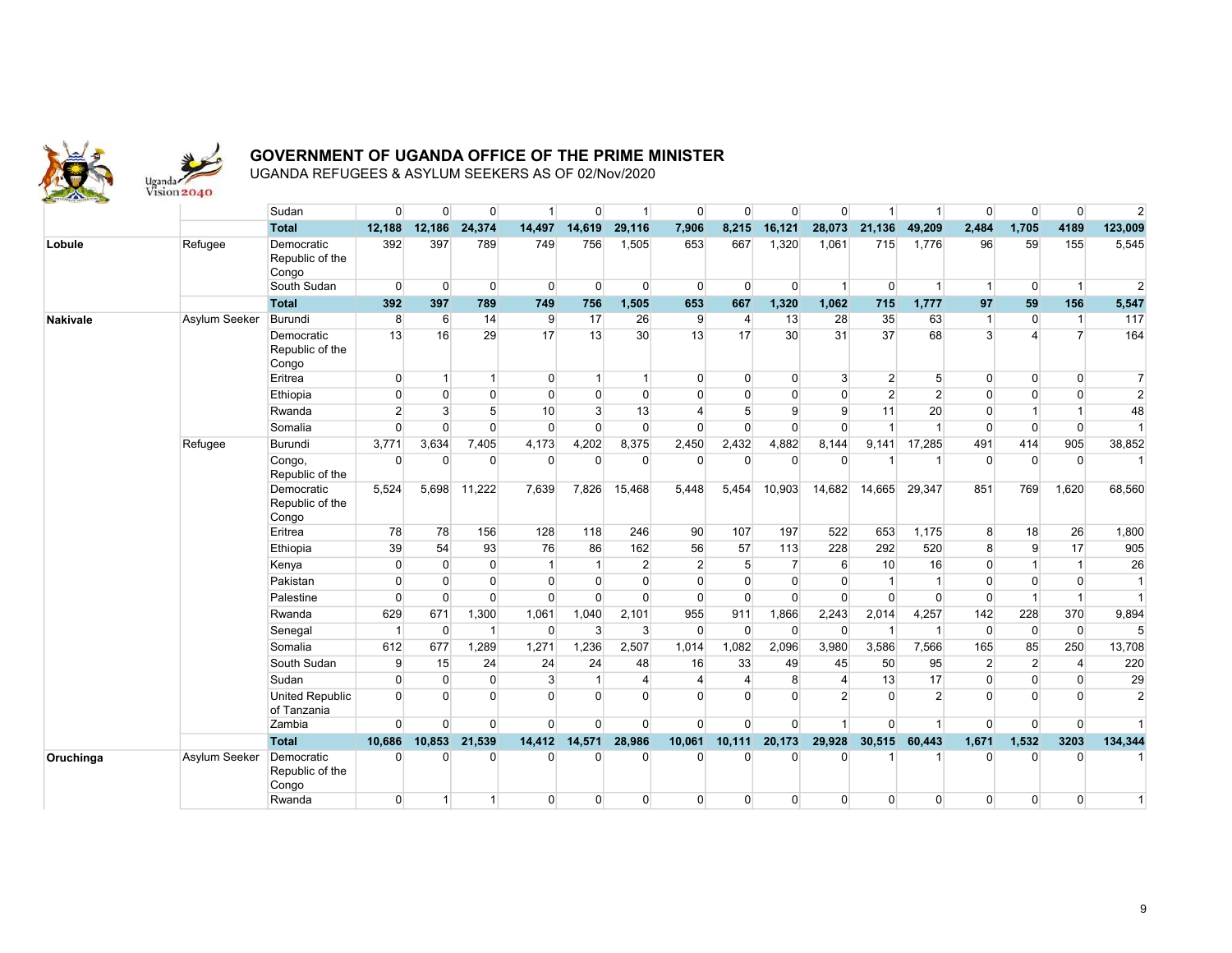

|                 |               | Sudan                                  | $\overline{0}$ | $\overline{0}$   | $\overline{0}$ |                | $\overline{0}$ |                | $\overline{0}$          | $\overline{0}$ | $\mathbf{0}$   | $\overline{0}$ | 1               | $\overline{1}$ | $\Omega$       | $\Omega$       | $\overline{0}$ | $\overline{2}$ |
|-----------------|---------------|----------------------------------------|----------------|------------------|----------------|----------------|----------------|----------------|-------------------------|----------------|----------------|----------------|-----------------|----------------|----------------|----------------|----------------|----------------|
|                 |               | <b>Total</b>                           | 12,188         | 12,186           | 24,374         | 14,497         | 14,619         | 29,116         | 7,906                   | 8,215          | 16,121         | 28,073         | 21,136          | 49,209         | 2,484          | 1,705          | 4189           | 123,009        |
| Lobule          | Refugee       | Democratic<br>Republic of the<br>Congo | 392            | 397              | 789            | 749            | 756            | 1,505          | 653                     | 667            | 1,320          | 1.061          | 715             | 1,776          | 96             | 59             | 155            | 5,545          |
|                 |               | South Sudan                            | $\Omega$       | $\Omega$         | $\overline{0}$ | $\Omega$       | $\overline{0}$ | $\Omega$       | $\Omega$                | $\overline{0}$ | $\Omega$       | $\mathbf{1}$   | $\Omega$        | $\overline{1}$ | $\mathbf{1}$   | $\Omega$       | $\overline{1}$ | $\overline{2}$ |
|                 |               | <b>Total</b>                           | 392            | 397              | 789            | 749            | 756            | 1,505          | 653                     | 667            | 1,320          | 1,062          | 715             | 1,777          | 97             | 59             | 156            | 5,547          |
| <b>Nakivale</b> | Asylum Seeker | Burundi                                | 8              | $6 \overline{6}$ | 14             | $\overline{9}$ | 17             | 26             | 9                       | $\overline{4}$ | 13             | 28             | 35              | 63             |                | $\overline{0}$ | $\overline{1}$ | 117            |
|                 |               | Democratic<br>Republic of the<br>Congo | 13             | 16               | 29             | 17             | 13             | 30             | 13                      | 17             | 30             | 31             | 37              | 68             | 3              | Λ              | $\overline{7}$ | 164            |
|                 |               | Eritrea                                | $\overline{0}$ | 1                | $\overline{1}$ | $\overline{0}$ | $\vert$        | $\mathbf{1}$   | $\overline{0}$          | $\overline{0}$ | $\overline{0}$ | $\overline{3}$ | $\overline{2}$  | 5 <sup>5</sup> | $\Omega$       | $\Omega$       | $\Omega$       | $\overline{7}$ |
|                 |               | Ethiopia                               | $\overline{0}$ | $\Omega$         | $\overline{0}$ | $\Omega$       | $\Omega$       | $\mathbf 0$    | $\Omega$                | $\Omega$       | $\mathbf{0}$   | $\overline{0}$ | $\overline{2}$  | $\overline{2}$ | $\Omega$       | $\Omega$       | $\Omega$       | $\overline{2}$ |
|                 |               | Rwanda                                 | $\overline{2}$ | $\mathbf{3}$     | 5 <sup>5</sup> | 10             | 3              | 13             | $\overline{\mathbf{4}}$ | 5              | 9              | $\overline{9}$ | 11              | 20             | $\Omega$       |                | -1             | 48             |
|                 |               | Somalia                                | $\Omega$       | $\Omega$         | $\Omega$       | $\Omega$       | $\Omega$       | $\Omega$       | $\Omega$                | $\Omega$       | $\Omega$       | $\Omega$       | $\overline{1}$  | $\mathbf{1}$   | $\Omega$       | $\Omega$       | $\overline{0}$ | $\overline{1}$ |
|                 | Refugee       | Burundi                                | 3,771          | 3,634            | 7,405          | 4,173          | 4,202          | 8,375          | 2,450                   | 2,432          | 4,882          | 8,144          | 9,141           | 17,285         | 491            | 414            | 905            | 38,852         |
|                 |               | Congo,<br>Republic of the              | $\Omega$       | $\Omega$         | $\overline{0}$ | $\Omega$       | $\overline{0}$ | $\mathbf 0$    | $\Omega$                | $\Omega$       | $\Omega$       | 0              | 1               | -1             | $\Omega$       | $\Omega$       | $\overline{0}$ | 1              |
|                 |               | Democratic<br>Republic of the<br>Congo | 5,524          | 5,698            | 11,222         | 7.639          | 7.826          | 15,468         | 5.448                   | 5,454          | 10,903         | 14,682         | 14,665          | 29,347         | 851            | 769            | 1,620          | 68,560         |
|                 |               | Eritrea                                | 78             | 78               | 156            | 128            | 118            | 246            | 90                      | 107            | 197            | 522            | 653             | 1,175          | 8              | 18             | 26             | 1,800          |
|                 |               | Ethiopia                               | 39             | 54               | 93             | 76             | 86             | 162            | 56                      | 57             | 113            | 228            | 292             | 520            | 8              | 9              | 17             | 905            |
|                 |               | Kenya                                  | $\overline{0}$ | $\overline{0}$   | $\overline{0}$ | $\mathbf{1}$   | $\vert$        | $\overline{2}$ | $\overline{2}$          | 5              | $\overline{7}$ | 6              | 10 <sup>1</sup> | 16             | $\Omega$       | $\overline{1}$ | -1             | 26             |
|                 |               | Pakistan                               | $\Omega$       | $\Omega$         | $\overline{0}$ | $\Omega$       | $\overline{0}$ | $\overline{0}$ | $\overline{0}$          | $\mathbf{0}$   | $\mathbf{0}$   | $\overline{0}$ | $\overline{1}$  | $\mathbf{1}$   | $\Omega$       | $\Omega$       | $\overline{0}$ | $\mathbf{1}$   |
|                 |               | Palestine                              | $\overline{0}$ | $\Omega$         | $\overline{0}$ | $\Omega$       | $\overline{0}$ | $\mathbf 0$    | $\overline{0}$          | $\Omega$       | $\Omega$       | $\Omega$       | $\Omega$        | $\Omega$       | $\Omega$       | $\overline{1}$ | $\overline{1}$ | $\overline{1}$ |
|                 |               | Rwanda                                 | 629            | 671              | 1,300          | 1,061          | 1,040          | 2,101          | 955                     | 911            | 1,866          | 2,243          | 2,014           | 4,257          | 142            | 228            | 370            | 9,894          |
|                 |               | Senegal                                | $\mathbf{1}$   | $\overline{0}$   | $\overline{1}$ | $\Omega$       | $\mathbf{3}$   | $\mathbf{3}$   | $\overline{0}$          | $\Omega$       | $\Omega$       | $\Omega$       | $\overline{1}$  | $\mathbf{1}$   | $\Omega$       | $\overline{0}$ | $\Omega$       | 5 <sup>5</sup> |
|                 |               | Somalia                                | 612            | 677              | 1,289          | 1,271          | 1,236          | 2,507          | 1,014                   | 1,082          | 2,096          | 3,980          | 3,586           | 7,566          | 165            | 85             | 250            | 13,708         |
|                 |               | South Sudan                            | 9              | 15               | 24             | 24             | 24             | 48             | 16                      | 33             | 49             | 45             | 50              | 95             | $\overline{2}$ | $\overline{2}$ | $\overline{4}$ | 220            |
|                 |               | Sudan                                  | $\Omega$       | $\Omega$         | $\overline{0}$ | $\mathbf{3}$   | $\vert$        | $\overline{4}$ | $\overline{\mathbf{4}}$ | 4              | 8              | 4              | 13              | 17             | $\Omega$       | $\Omega$       | $\Omega$       | 29             |
|                 |               | <b>United Republic</b><br>of Tanzania  | $\Omega$       | $\Omega$         | $\overline{0}$ | $\Omega$       | $\Omega$       | $\Omega$       | $\Omega$                | $\Omega$       | $\overline{0}$ | $\overline{2}$ | $\Omega$        | $\overline{2}$ | $\Omega$       | $\Omega$       | $\Omega$       | $\overline{2}$ |
|                 |               | Zambia                                 | $\Omega$       | $\Omega$         | $\Omega$       | $\Omega$       | $\Omega$       | $\Omega$       | $\Omega$                | $\Omega$       | $\Omega$       | 1              | $\Omega$        | $\mathbf{1}$   | $\Omega$       | $\Omega$       | $\Omega$       |                |
|                 |               | <b>Total</b>                           | 10,686         | 10,853           | 21,539         | 14,412         | 14,571         | 28,986         | 10,061                  | 10,111         | 20,173         | 29,928         | 30,515          | 60,443         | 1,671          | 1,532          | 3203           | 134,344        |
| Oruchinga       | Asylum Seeker | Democratic<br>Republic of the<br>Congo | $\Omega$       | U                | $\Omega$       | $\Omega$       | 0              | $\Omega$       | $\Omega$                | $\Omega$       | O              | $\Omega$       |                 |                | $\Omega$       | $\Omega$       | $\Omega$       |                |
|                 |               | Rwanda                                 | $\overline{0}$ | 1                | $\mathbf{1}$   | $\Omega$       | $\overline{0}$ | $\overline{0}$ | $\overline{0}$          | $\overline{0}$ | $\Omega$       | $\overline{0}$ | $\Omega$        | $\Omega$       | $\Omega$       | $\Omega$       | $\Omega$       | 1              |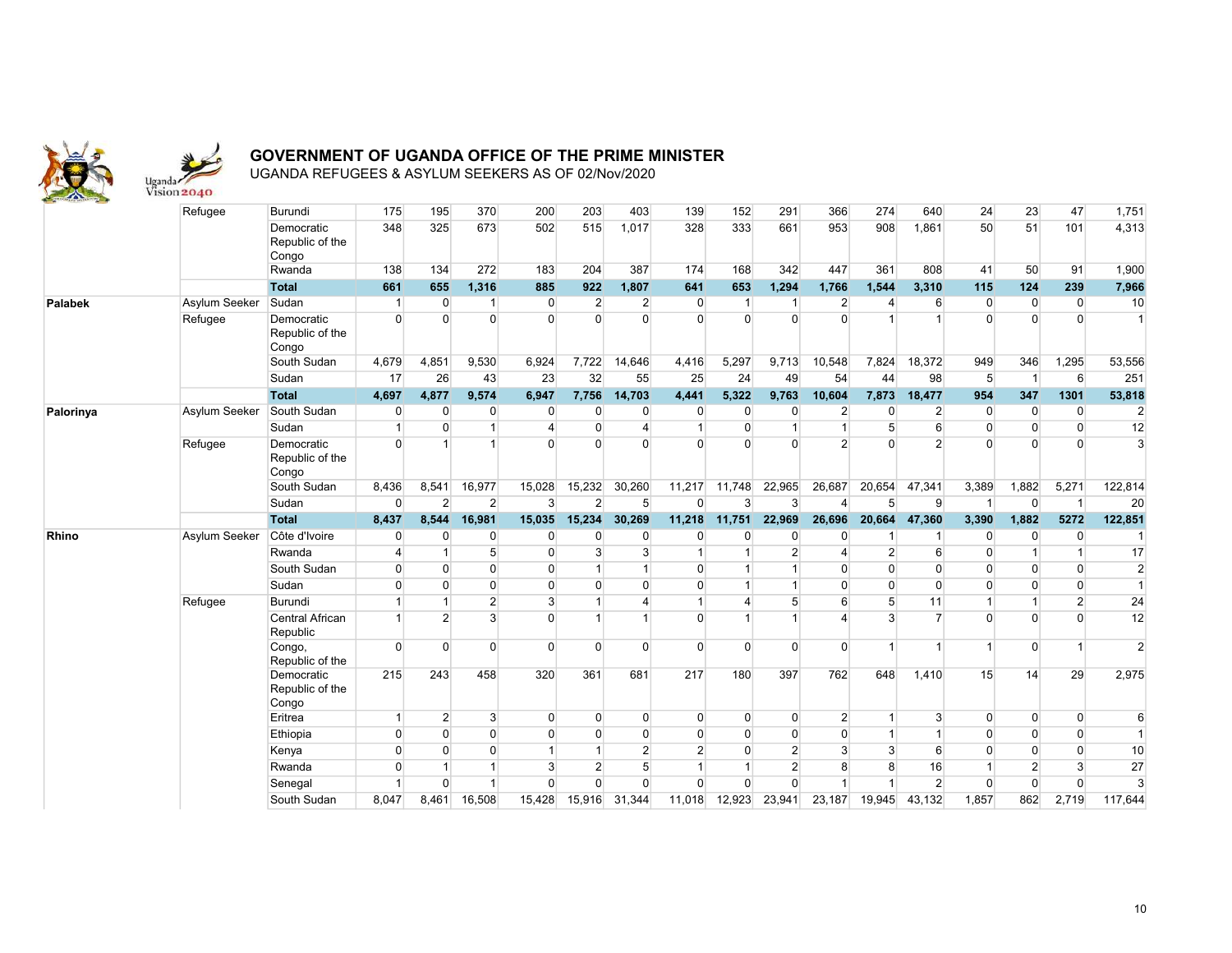

|              | Refugee       | Burundi                                | 175                     | 195            | 370            | 200                     | 203            | 403             | 139            | 152            | 291            | 366            | 274            | 640              | 24             | 23             | 47                      | 1,751          |
|--------------|---------------|----------------------------------------|-------------------------|----------------|----------------|-------------------------|----------------|-----------------|----------------|----------------|----------------|----------------|----------------|------------------|----------------|----------------|-------------------------|----------------|
|              |               | Democratic<br>Republic of the<br>Congo | 348                     | 325            | 673            | 502                     | 515            | 1,017           | 328            | 333            | 661            | 953            | 908            | 1,861            | 50             | 51             | 101                     | 4,313          |
|              |               | Rwanda                                 | 138                     | 134            | 272            | 183                     | 204            | 387             | 174            | 168            | 342            | 447            | 361            | 808              | 41             | 50             | 91                      | 1,900          |
|              |               | <b>Total</b>                           | 661                     | 655            | 1,316          | 885                     | 922            | 1,807           | 641            | 653            | 1,294          | 1,766          | 1,544          | 3,310            | 115            | 124            | 239                     | 7,966          |
| Palabek      | Asylum Seeker | Sudan                                  | 1                       | $\overline{0}$ | $\mathbf{1}$   | $\overline{0}$          | $\overline{2}$ | $\overline{2}$  | $\overline{0}$ | $\mathbf 1$    | $\mathbf{1}$   | $\overline{2}$ | $\overline{4}$ | 6                | $\overline{0}$ | $\overline{0}$ | $\overline{0}$          | 10             |
|              | Refugee       | Democratic<br>Republic of the<br>Congo | $\Omega$                | $\Omega$       | $\Omega$       | $\Omega$                | $\Omega$       | $\overline{0}$  | $\Omega$       | $\Omega$       | $\Omega$       | $\Omega$       |                | $\overline{1}$   | $\Omega$       | $\Omega$       | $\overline{0}$          | $\overline{1}$ |
|              |               | South Sudan                            | 4,679                   | 4,851          | 9,530          | 6,924                   | 7,722          | 14,646          | 4,416          | 5,297          | 9,713          | 10,548         | 7,824          | 18,372           | 949            | 346            | 1,295                   | 53,556         |
|              |               | Sudan                                  | 17                      | 26             | 43             | 23                      | 32             | 55              | 25             | 24             | 49             | 54             | 44             | 98               | 5              | $\overline{1}$ | $6 \overline{6}$        | 251            |
|              |               | <b>Total</b>                           | 4,697                   | 4,877          | 9,574          | 6,947                   | 7,756          | 14,703          | 4,441          | 5,322          | 9,763          | 10,604         | 7,873          | 18,477           | 954            | 347            | 1301                    | 53,818         |
| Palorinya    | Asylum Seeker | South Sudan                            | $\overline{0}$          | $\overline{0}$ | $\overline{0}$ | $\Omega$                | $\overline{0}$ | $\overline{0}$  | $\mathbf{0}$   | $\mathbf{0}$   | 0              | $\overline{2}$ | O              | $\overline{2}$   | $\Omega$       | $\Omega$       | $\overline{0}$          | $\overline{c}$ |
|              |               | Sudan                                  | $\mathbf{1}$            | $\Omega$       | $\mathbf{1}$   | $\overline{\mathbf{4}}$ | $\overline{0}$ | $\overline{4}$  | $\overline{1}$ | $\mathbf{0}$   | $\overline{1}$ | 1              | 5              | $6 \overline{6}$ | $\Omega$       | $\Omega$       | $\overline{0}$          | 12             |
|              | Refugee       | Democratic<br>Republic of the<br>Congo | $\Omega$                | $\overline{1}$ | 1              | $\Omega$                | $\Omega$       | $\Omega$        | $\Omega$       | $\Omega$       | $\Omega$       | $\overline{2}$ | $\Omega$       | 2 <sup>1</sup>   | $\Omega$       | $\Omega$       | $\Omega$                | $\overline{3}$ |
|              |               | South Sudan                            | 8,436                   | 8,541          | 16,977         | 15,028                  | 15,232         | 30,260          | 11,217         | 11,748         | 22,965         | 26,687         | 20,654         | 47,341           | 3,389          | 1,882          | 5,271                   | 122,814        |
|              |               | Sudan                                  | $\overline{0}$          | $\overline{2}$ | $\overline{2}$ | 3                       | $\overline{2}$ | $5\overline{)}$ | $\Omega$       | 3              | 3              | $\overline{4}$ | 5              | 9                | $\overline{1}$ | $\overline{0}$ | $\overline{1}$          | 20             |
|              |               |                                        |                         |                |                |                         |                |                 |                |                |                |                |                |                  |                |                |                         |                |
|              |               | <b>Total</b>                           | 8,437                   | 8,544          | 16,981         | 15,035                  | 15,234         | 30,269          | 11,218         | 11,751         | 22,969         | 26,696         | 20,664         | 47,360           | 3,390          | 1,882          | 5272                    | 122,851        |
| <b>Rhino</b> | Asylum Seeker | Côte d'Ivoire                          | $\overline{0}$          | $\Omega$       | $\overline{0}$ | $\Omega$                | $\Omega$       | $\overline{0}$  | $\Omega$       | $\Omega$       | 0              | $\Omega$       |                | 1                | $\Omega$       | 0              | $\Omega$                |                |
|              |               | Rwanda                                 | $\overline{\mathbf{4}}$ | $\overline{1}$ | 5 <sup>5</sup> | $\Omega$                | $\mathbf{3}$   | $\mathbf{3}$    | $\overline{1}$ | $\overline{1}$ | $\overline{2}$ | 4              | 2 <sup>2</sup> | 6                | $\Omega$       | $\overline{1}$ |                         | 17             |
|              |               | South Sudan                            | $\Omega$                | $\Omega$       | $\Omega$       | $\overline{0}$          | $\overline{1}$ | $\overline{1}$  | $\mathbf 0$    | $\overline{1}$ | 1              | $\Omega$       | $\Omega$       | $\Omega$         | $\Omega$       | $\Omega$       | $\overline{0}$          | $\overline{2}$ |
|              |               | Sudan                                  | $\overline{0}$          | $\overline{0}$ | $\overline{0}$ | $\overline{0}$          | $\overline{0}$ | $\overline{0}$  | $\overline{0}$ | $\overline{1}$ | $\overline{1}$ | $\overline{0}$ | $\overline{0}$ | $\Omega$         | $\Omega$       | $\Omega$       | $\overline{0}$          | $\mathbf{1}$   |
|              | Refugee       | Burundi                                | $\mathbf{1}$            | $\mathbf{1}$   | $\overline{2}$ | 3                       | $\mathbf{1}$   | $\overline{4}$  | $\overline{1}$ | 4              | 5              | 6              | 5              | 11               |                |                | $\overline{2}$          | 24             |
|              |               | Central African<br>Republic            |                         | $\overline{2}$ | 3              | $\Omega$                | $\overline{1}$ | $\overline{1}$  | $\Omega$       |                | $\overline{1}$ | 4              | 3              | $\overline{7}$   | $\Omega$       | $\Omega$       | $\Omega$                | 12             |
|              |               | Congo,<br>Republic of the              | $\Omega$                | $\Omega$       | $\Omega$       | $\Omega$                | $\Omega$       | $\Omega$        | $\Omega$       | $\Omega$       | $\Omega$       | $\overline{0}$ | $\overline{1}$ | 1                |                | $\Omega$       | $\overline{\mathbf{1}}$ | $\overline{2}$ |
|              |               | Democratic<br>Republic of the          | 215                     | 243            | 458            | 320                     | 361            | 681             | 217            | 180            | 397            | 762            | 648            | 1,410            | 15             | 14             | 29                      | 2,975          |
|              |               | Congo<br>Eritrea                       | $\mathbf{1}$            | $\overline{2}$ | $\mathbf{3}$   | $\Omega$                | $\overline{0}$ | $\overline{0}$  | $\overline{0}$ | $\mathbf{0}$   | $\overline{0}$ | $\overline{2}$ | $\mathbf{1}$   | 3 <sup>1</sup>   | $\Omega$       | $\Omega$       | $\overline{0}$          | 6              |
|              |               | Ethiopia                               | $\overline{0}$          | $\Omega$       | $\overline{0}$ | $\overline{0}$          | $\overline{0}$ | $\overline{0}$  | $\overline{0}$ | $\mathbf 0$    | $\mathbf{0}$   | $\overline{0}$ | 1              | $\mathbf{1}$     | $\Omega$       | $\Omega$       | $\overline{0}$          | $\mathbf{1}$   |
|              |               | Kenya                                  | $\overline{0}$          | $\overline{0}$ | $\overline{0}$ | $\overline{1}$          | $\mathbf{1}$   | $\overline{2}$  | $\overline{2}$ | $\mathbf 0$    | $\overline{2}$ | $\overline{3}$ | 3 <sup>1</sup> | 6                | $\Omega$       | $\Omega$       | $\overline{0}$          | 10             |
|              |               | Rwanda                                 | $\overline{0}$          | $\mathbf{1}$   | $\mathbf{1}$   | $\mathbf{3}$            | $\overline{2}$ | 5 <sup>5</sup>  | $\overline{1}$ | 1              | $\overline{2}$ | 8              | 8 <sup>1</sup> | 16               |                | $\overline{2}$ | 3 <sup>1</sup>          | 27             |
|              |               | Senegal                                | -1                      | $\Omega$       | $\overline{1}$ | $\Omega$                | $\overline{0}$ | $\overline{0}$  | $\Omega$       | $\mathbf 0$    | $\Omega$       | $\overline{1}$ | 1              | $\overline{2}$   | $\Omega$       | $\Omega$       | $\overline{0}$          | $\overline{3}$ |